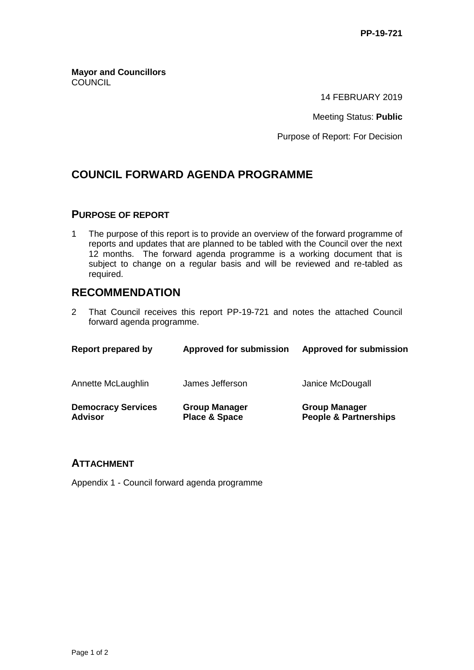**Mayor and Councillors COUNCIL** 

14 FEBRUARY 2019

Meeting Status: **Public**

Purpose of Report: For Decision

## **COUNCIL FORWARD AGENDA PROGRAMME**

#### **PURPOSE OF REPORT**

1 The purpose of this report is to provide an overview of the forward programme of reports and updates that are planned to be tabled with the Council over the next 12 months. The forward agenda programme is a working document that is subject to change on a regular basis and will be reviewed and re-tabled as required.

### **RECOMMENDATION**

2 That Council receives this report PP-19-721 and notes the attached Council forward agenda programme.

| Report prepared by                          | <b>Approved for submission</b>                   | <b>Approved for submission</b>                           |
|---------------------------------------------|--------------------------------------------------|----------------------------------------------------------|
| Annette McLaughlin                          | James Jefferson                                  | Janice McDougall                                         |
| <b>Democracy Services</b><br><b>Advisor</b> | <b>Group Manager</b><br><b>Place &amp; Space</b> | <b>Group Manager</b><br><b>People &amp; Partnerships</b> |

#### **ATTACHMENT**

Appendix 1 - Council forward agenda programme